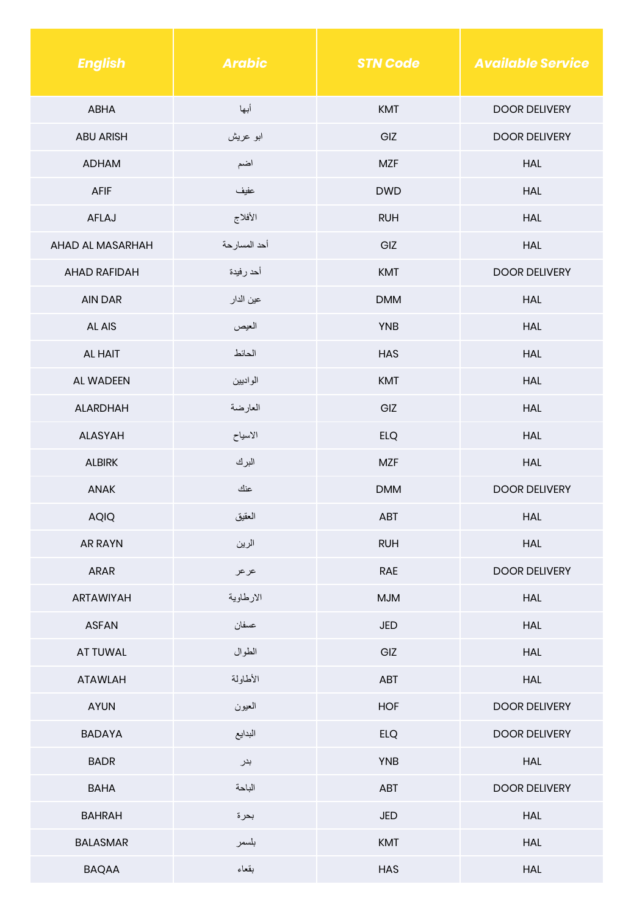| <b>English</b>      | <b>Arabic</b> | <b>STN Code</b> | <b>Available Service</b> |
|---------------------|---------------|-----------------|--------------------------|
| ABHA                | أبها          | <b>KMT</b>      | <b>DOOR DELIVERY</b>     |
| <b>ABU ARISH</b>    | ابو عريش      | GIZ             | <b>DOOR DELIVERY</b>     |
| <b>ADHAM</b>        | اضم           | <b>MZF</b>      | <b>HAL</b>               |
| AFIF                | عفيف          | <b>DWD</b>      | <b>HAL</b>               |
| AFLAJ               | الأفلاج       | <b>RUH</b>      | <b>HAL</b>               |
| AHAD AL MASARHAH    | أحد المسارحة  | GIZ             | <b>HAL</b>               |
| <b>AHAD RAFIDAH</b> | أحد رفيدة     | <b>KMT</b>      | <b>DOOR DELIVERY</b>     |
| <b>AIN DAR</b>      | عين الدار     | <b>DMM</b>      | <b>HAL</b>               |
| AL AIS              | العيص         | <b>YNB</b>      | <b>HAL</b>               |
| AL HAIT             | الحائط        | <b>HAS</b>      | <b>HAL</b>               |
| AL WADEEN           | الواديين      | <b>KMT</b>      | <b>HAL</b>               |
| <b>ALARDHAH</b>     | العارضة       | GIZ             | <b>HAL</b>               |
| <b>ALASYAH</b>      | الاسياح       | <b>ELQ</b>      | <b>HAL</b>               |
| <b>ALBIRK</b>       | البرك         | <b>MZF</b>      | <b>HAL</b>               |
| ANAK                | عنك           | <b>DMM</b>      | <b>DOOR DELIVERY</b>     |
| <b>AQIQ</b>         | العقيق        | ABT             | <b>HAL</b>               |
| <b>AR RAYN</b>      | الرين         | <b>RUH</b>      | <b>HAL</b>               |
| ARAR                | عر عر         | RAE             | <b>DOOR DELIVERY</b>     |
| ARTAWIYAH           | الارطاوية     | <b>MJM</b>      | <b>HAL</b>               |
| <b>ASFAN</b>        | عسفان         | JED             | <b>HAL</b>               |
| AT TUWAL            | الطوال        | GIZ             | HAL                      |
| <b>ATAWLAH</b>      | الأطاولة      | ABT             | <b>HAL</b>               |
| <b>AYUN</b>         | العيون        | <b>HOF</b>      | <b>DOOR DELIVERY</b>     |
| <b>BADAYA</b>       | البدايع       | <b>ELQ</b>      | <b>DOOR DELIVERY</b>     |
| <b>BADR</b>         | بدر           | <b>YNB</b>      | HAL                      |
| <b>BAHA</b>         | الباحة        | ABT             | <b>DOOR DELIVERY</b>     |
| <b>BAHRAH</b>       | بحرة          | JED             | <b>HAL</b>               |
| <b>BALASMAR</b>     | بلسمر         | KMT             | <b>HAL</b>               |
| <b>BAQAA</b>        | بقعاء         | HAS             | <b>HAL</b>               |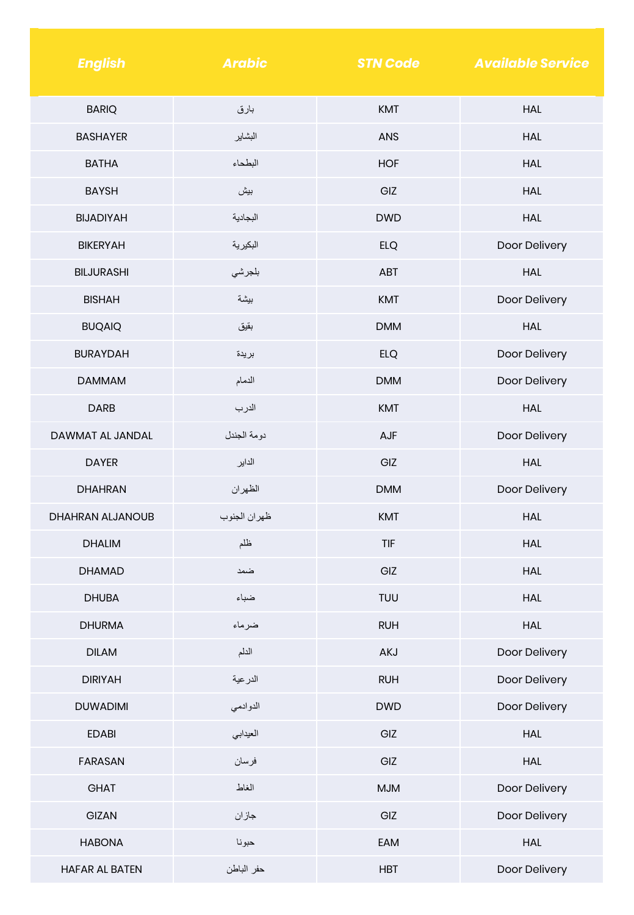| <b>English</b>    | <b>Arabic</b> | <b>STN Code</b> | <b>Available Service</b> |
|-------------------|---------------|-----------------|--------------------------|
| <b>BARIQ</b>      | بارق          | <b>KMT</b>      | <b>HAL</b>               |
| <b>BASHAYER</b>   | البشاير       | <b>ANS</b>      | <b>HAL</b>               |
| <b>BATHA</b>      | البطحاء       | <b>HOF</b>      | <b>HAL</b>               |
| <b>BAYSH</b>      | بيش           | GIZ             | <b>HAL</b>               |
| <b>BIJADIYAH</b>  | البجادية      | <b>DWD</b>      | <b>HAL</b>               |
| <b>BIKERYAH</b>   | البكيرية      | <b>ELQ</b>      | Door Delivery            |
| <b>BILJURASHI</b> | بلجرشي        | <b>ABT</b>      | <b>HAL</b>               |
| <b>BISHAH</b>     | بيشة          | <b>KMT</b>      | Door Delivery            |
| <b>BUQAIQ</b>     | بقيق          | <b>DMM</b>      | <b>HAL</b>               |
| <b>BURAYDAH</b>   | بريدة         | <b>ELQ</b>      | Door Delivery            |
| <b>DAMMAM</b>     | الدمام        | <b>DMM</b>      | Door Delivery            |
| <b>DARB</b>       | الدرب         | <b>KMT</b>      | <b>HAL</b>               |
| DAWMAT AL JANDAL  | دومة الجندل   | AJF             | Door Delivery            |
| <b>DAYER</b>      | الداير        | GIZ             | <b>HAL</b>               |
| <b>DHAHRAN</b>    | الظهران       | <b>DMM</b>      | Door Delivery            |
| DHAHRAN ALJANOUB  | ظهران الجنوب  | <b>KMT</b>      | <b>HAL</b>               |
| <b>DHALIM</b>     | ظلم           | <b>TIF</b>      | <b>HAL</b>               |
| <b>DHAMAD</b>     | ضمد           | GIZ             | <b>HAL</b>               |
| <b>DHUBA</b>      | ضباء          | TUU             | <b>HAL</b>               |
| <b>DHURMA</b>     | ضرماء         | <b>RUH</b>      | <b>HAL</b>               |
| <b>DILAM</b>      | الدلم         | AKJ             | Door Delivery            |
| <b>DIRIYAH</b>    | الدرعية       | <b>RUH</b>      | Door Delivery            |
| <b>DUWADIMI</b>   | الدوادمي      | <b>DWD</b>      | Door Delivery            |
| <b>EDABI</b>      | العيدابي      | GIZ             | <b>HAL</b>               |
| <b>FARASAN</b>    | فرسان         | GIZ             | <b>HAL</b>               |
| GHAT              | الغاط         | <b>MJM</b>      | Door Delivery            |
| GIZAN             | جازان         | GIZ             | Door Delivery            |
| <b>HABONA</b>     | حبونا         | EAM             | HAL                      |
| HAFAR AL BATEN    | حفر الباطن    | <b>HBT</b>      | Door Delivery            |

and the state of the state of the state of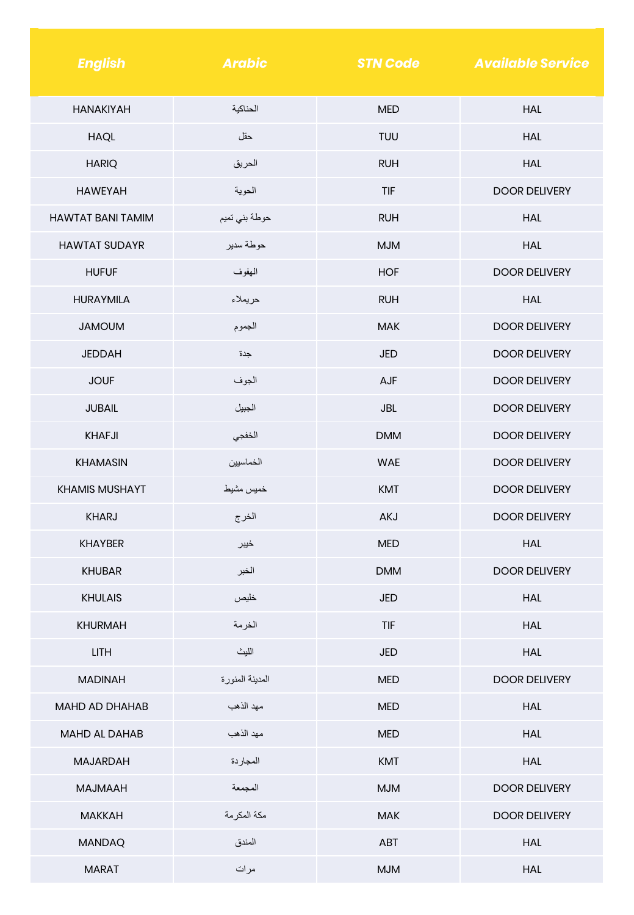| <b>English</b>           | <b>Arabic</b>   | <b>STN Code</b> | <b>Available Service</b> |
|--------------------------|-----------------|-----------------|--------------------------|
| <b>HANAKIYAH</b>         | الحناكية        | <b>MED</b>      | HAL                      |
| <b>HAQL</b>              | حقل             | <b>TUU</b>      | <b>HAL</b>               |
| <b>HARIQ</b>             | الحريق          | <b>RUH</b>      | <b>HAL</b>               |
| <b>HAWEYAH</b>           | الحوية          | <b>TIF</b>      | <b>DOOR DELIVERY</b>     |
| <b>HAWTAT BANI TAMIM</b> | حوطة بني تميم   | <b>RUH</b>      | <b>HAL</b>               |
| <b>HAWTAT SUDAYR</b>     | حوطة سدير       | <b>MJM</b>      | <b>HAL</b>               |
| <b>HUFUF</b>             | الهفوف          | <b>HOF</b>      | <b>DOOR DELIVERY</b>     |
| <b>HURAYMILA</b>         | حريملاء         | <b>RUH</b>      | <b>HAL</b>               |
| <b>JAMOUM</b>            | الجموم          | <b>MAK</b>      | <b>DOOR DELIVERY</b>     |
| <b>JEDDAH</b>            | جدة             | <b>JED</b>      | <b>DOOR DELIVERY</b>     |
| <b>JOUF</b>              | الجوف           | AJF             | <b>DOOR DELIVERY</b>     |
| <b>JUBAIL</b>            | الجبيل          | <b>JBL</b>      | <b>DOOR DELIVERY</b>     |
| <b>KHAFJI</b>            | الخفجي          | <b>DMM</b>      | <b>DOOR DELIVERY</b>     |
| <b>KHAMASIN</b>          | الخماسيين       | <b>WAE</b>      | <b>DOOR DELIVERY</b>     |
| <b>KHAMIS MUSHAYT</b>    | خميس مشيط       | <b>KMT</b>      | <b>DOOR DELIVERY</b>     |
| <b>KHARJ</b>             | الخرج           | AKJ             | <b>DOOR DELIVERY</b>     |
| <b>KHAYBER</b>           | خيبر            | <b>MED</b>      | HAL                      |
| <b>KHUBAR</b>            | الخبر           | <b>DMM</b>      | <b>DOOR DELIVERY</b>     |
| <b>KHULAIS</b>           | خليص            | JED             | <b>HAL</b>               |
| <b>KHURMAH</b>           | الخرمة          | TIF             | <b>HAL</b>               |
| <b>LITH</b>              | الليث           | JED             | <b>HAL</b>               |
| <b>MADINAH</b>           | المدينة المنورة | <b>MED</b>      | <b>DOOR DELIVERY</b>     |
| MAHD AD DHAHAB           | مهد الذهب       | <b>MED</b>      | <b>HAL</b>               |
| MAHD AL DAHAB            | مهد الذهب       | <b>MED</b>      | HAL                      |
| MAJARDAH                 | المجاردة        | <b>KMT</b>      | <b>HAL</b>               |
| <b>MAJMAAH</b>           | المجمعة         | <b>MJM</b>      | <b>DOOR DELIVERY</b>     |
| <b>MAKKAH</b>            | مكة المكرمة     | <b>MAK</b>      | <b>DOOR DELIVERY</b>     |
| <b>MANDAQ</b>            | المندق          | ABT             | <b>HAL</b>               |
| <b>MARAT</b>             | مرات            | <b>MJM</b>      | <b>HAL</b>               |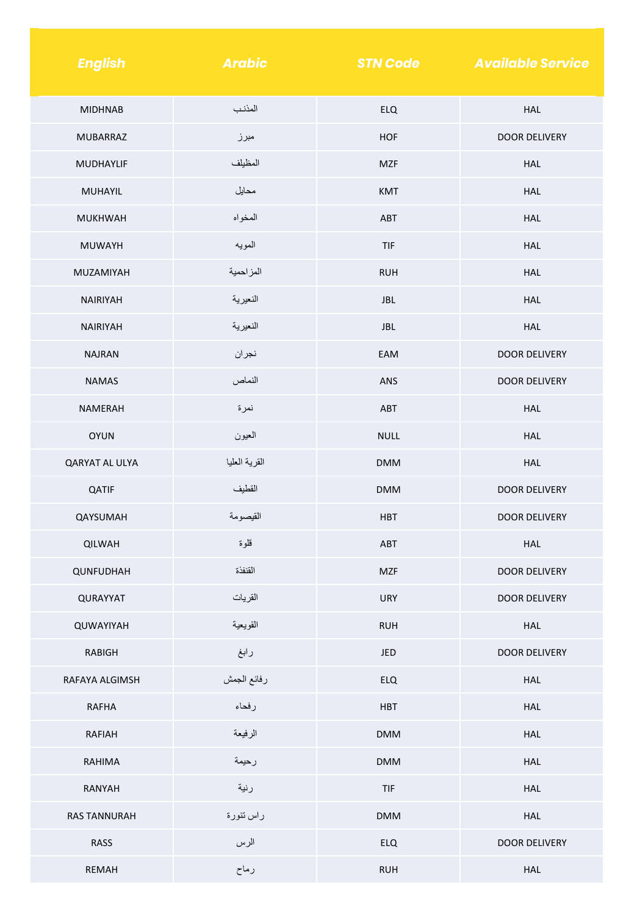| <b>English</b>      | <b>Arabic</b> | <b>STN Code</b> | <b>Available Service</b> |
|---------------------|---------------|-----------------|--------------------------|
| <b>MIDHNAB</b>      | المذنب        | <b>ELQ</b>      | <b>HAL</b>               |
| <b>MUBARRAZ</b>     | مبرز          | <b>HOF</b>      | <b>DOOR DELIVERY</b>     |
| MUDHAYLIF           | المظيلف       | <b>MZF</b>      | <b>HAL</b>               |
| MUHAYIL             | محايل         | <b>KMT</b>      | <b>HAL</b>               |
| <b>MUKHWAH</b>      | المخواه       | ABT             | <b>HAL</b>               |
| <b>MUWAYH</b>       | المويه        | TIF             | <b>HAL</b>               |
| MUZAMIYAH           | المزاحمية     | <b>RUH</b>      | <b>HAL</b>               |
| <b>NAIRIYAH</b>     | النعيرية      | <b>JBL</b>      | <b>HAL</b>               |
| <b>NAIRIYAH</b>     | النعيرية      | <b>JBL</b>      | <b>HAL</b>               |
| <b>NAJRAN</b>       | نجران         | EAM             | <b>DOOR DELIVERY</b>     |
| <b>NAMAS</b>        | النماص        | <b>ANS</b>      | <b>DOOR DELIVERY</b>     |
| <b>NAMERAH</b>      | نمرة          | ABT             | <b>HAL</b>               |
| <b>OYUN</b>         | العيون        | <b>NULL</b>     | <b>HAL</b>               |
| QARYAT AL ULYA      | القرية العليا | <b>DMM</b>      | HAL                      |
| QATIF               | القطيف        | <b>DMM</b>      | <b>DOOR DELIVERY</b>     |
| QAYSUMAH            | القيصومة      | <b>HBT</b>      | <b>DOOR DELIVERY</b>     |
| <b>QILWAH</b>       | قلوة          | ABT             | <b>HAL</b>               |
| QUNFUDHAH           | القنفذة       | <b>MZF</b>      | DOOR DELIVERY            |
| QURAYYAT            | القريات       | <b>URY</b>      | <b>DOOR DELIVERY</b>     |
| QUWAYIYAH           | القويعية      | <b>RUH</b>      | HAL                      |
| <b>RABIGH</b>       | رابغ          | JED             | DOOR DELIVERY            |
| RAFAYA ALGIMSH      | رفائع الجمش   | <b>ELQ</b>      | HAL                      |
| <b>RAFHA</b>        | رفحاء         | <b>HBT</b>      | HAL                      |
| RAFIAH              | الرفيعة       | <b>DMM</b>      | HAL                      |
| RAHIMA              | رحيمة         | <b>DMM</b>      | HAL                      |
| RANYAH              | رنية          | TIF             | HAL                      |
| <b>RAS TANNURAH</b> | راس تنورة     | <b>DMM</b>      | HAL                      |
| RASS                | الرس          | <b>ELQ</b>      | <b>DOOR DELIVERY</b>     |
| REMAH               | رماح          | <b>RUH</b>      | HAL                      |

a sa karang sa kabupatèn Kabupatèn Bangung Kabupatèn Kabupatèn Kabupatèn Kabupatèn Kabupatèn Kabupatèn Kabupat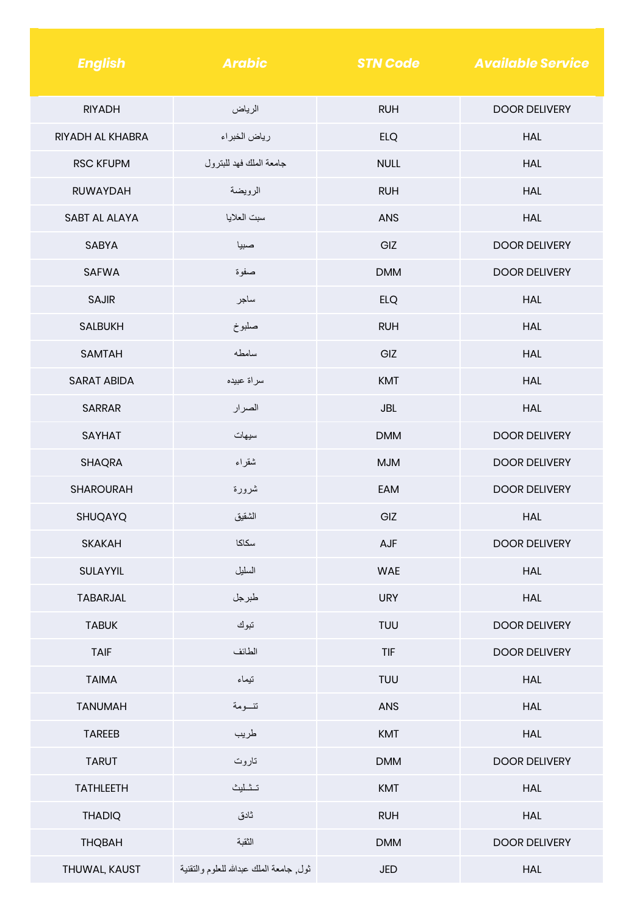| <b>English</b>       | <b>Arabic</b>                            | <b>STN Code</b> | <b>Available Service</b> |
|----------------------|------------------------------------------|-----------------|--------------------------|
| <b>RIYADH</b>        | الرياض                                   | <b>RUH</b>      | <b>DOOR DELIVERY</b>     |
| RIYADH AL KHABRA     | رياض الخبراء                             | <b>ELQ</b>      | <b>HAL</b>               |
| <b>RSC KFUPM</b>     | جامعة الملك فهد للبترول                  | <b>NULL</b>     | <b>HAL</b>               |
| <b>RUWAYDAH</b>      | الرويضة                                  | <b>RUH</b>      | <b>HAL</b>               |
| <b>SABT AL ALAYA</b> | سبت العلايا                              | <b>ANS</b>      | <b>HAL</b>               |
| <b>SABYA</b>         | صبيا                                     | GIZ             | <b>DOOR DELIVERY</b>     |
| <b>SAFWA</b>         | صفوة                                     | <b>DMM</b>      | <b>DOOR DELIVERY</b>     |
| <b>SAJIR</b>         | ساجر                                     | <b>ELQ</b>      | <b>HAL</b>               |
| <b>SALBUKH</b>       | صلبوخ                                    | <b>RUH</b>      | <b>HAL</b>               |
| <b>SAMTAH</b>        | سامطه                                    | GIZ             | <b>HAL</b>               |
| <b>SARAT ABIDA</b>   | سراة عبيده                               | <b>KMT</b>      | <b>HAL</b>               |
| <b>SARRAR</b>        | الصرار                                   | <b>JBL</b>      | <b>HAL</b>               |
| <b>SAYHAT</b>        | سيهات                                    | <b>DMM</b>      | <b>DOOR DELIVERY</b>     |
| <b>SHAQRA</b>        | شقراء                                    | <b>MJM</b>      | <b>DOOR DELIVERY</b>     |
| <b>SHAROURAH</b>     | شرورة                                    | EAM             | <b>DOOR DELIVERY</b>     |
| SHUQAYQ              | الشقيق                                   | GIZ             | <b>HAL</b>               |
| <b>SKAKAH</b>        | سكاكا                                    | AJF             | <b>DOOR DELIVERY</b>     |
| SULAYYIL             | السليل                                   | <b>WAE</b>      | <b>HAL</b>               |
| TABARJAL             | طبرجل                                    | <b>URY</b>      | <b>HAL</b>               |
| <b>TABUK</b>         | تبوك                                     | <b>TUU</b>      | <b>DOOR DELIVERY</b>     |
| <b>TAIF</b>          | الطائف                                   | TIF             | <b>DOOR DELIVERY</b>     |
| <b>TAIMA</b>         | تيماء                                    | TUU             | <b>HAL</b>               |
| <b>TANUMAH</b>       | تنسومة                                   | ANS             | <b>HAL</b>               |
| <b>TAREEB</b>        | طريب                                     | KMT             | <b>HAL</b>               |
| <b>TARUT</b>         | تاروت                                    | <b>DMM</b>      | <b>DOOR DELIVERY</b>     |
| <b>TATHLEETH</b>     | تثليث                                    | KMT             | <b>HAL</b>               |
| <b>THADIQ</b>        | ثادق                                     | <b>RUH</b>      | <b>HAL</b>               |
| <b>THQBAH</b>        | النقبة                                   | <b>DMM</b>      | <b>DOOR DELIVERY</b>     |
| THUWAL, KAUST        | ثول, جامعة الملك عبدالله للعلوم والنقنية | <b>JED</b>      | <b>HAL</b>               |